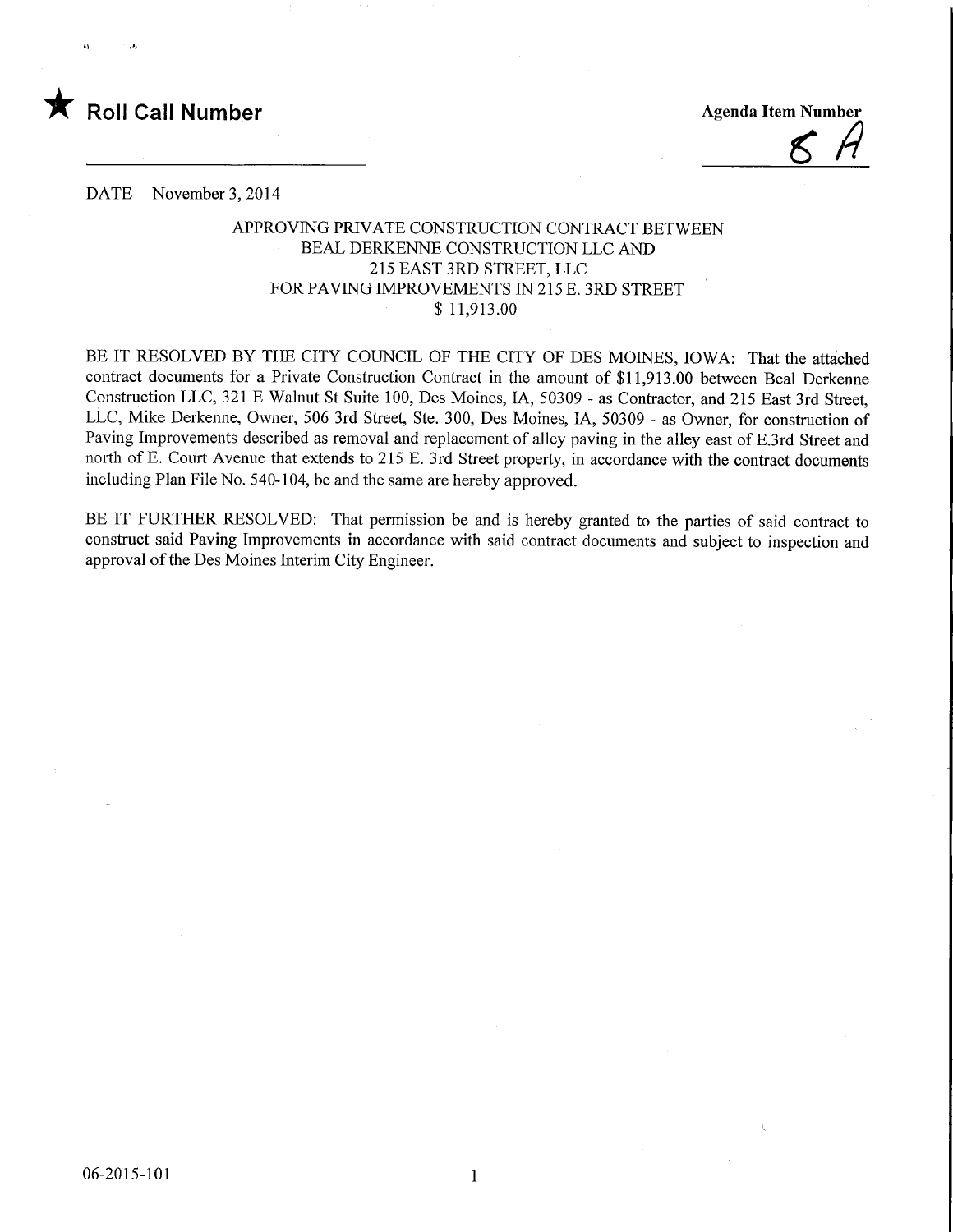

DATE November 3, 2014

## APPROVING PRIVATE CONSTRUCTION CONTRACT BETWEEN BEAL DERKENNE CONSTRUCTION LLC AND 215 EAST 3RD STREET, LLC FOR PAVING IMPROVEMENTS IN 215 E. 3RD STREET \$ 11,913.00

BE IT RESOLVED BY THE CITY COUNCIL OF THE CITY OF DES MOINES, IOWA: That the attached contract documents for a Private Construction Contract in the amount of \$11,913.00 between Real Derkenne Construction LLC, 321 E Walnut St Suite 100, Des Moines, IA, 50309 - as Contractor, and 215 East 3rd Street, LLC, Mike Derkenne, Owner, 506 3rd Street, Ste. 300, Des Moines, IA, 50309 - as Owner, for construction of Paving Improvements described as removal and replacement of alley paving in the alley east of E.3rd Street and north of E. Court Avenue that extends to 215 E. 3rd Street property, in accordance with the contract documents including Plan File No. 540-104, be and the same are hereby approved.

BE IT FURTHER RESOLVED: That permission be and is hereby granted to the parties of said contract to construct said Paving Improvements in accordance with said contract documents and subject to inspection and approval of the Des Moines Interim City Engineer.

 $\mathbf{1}$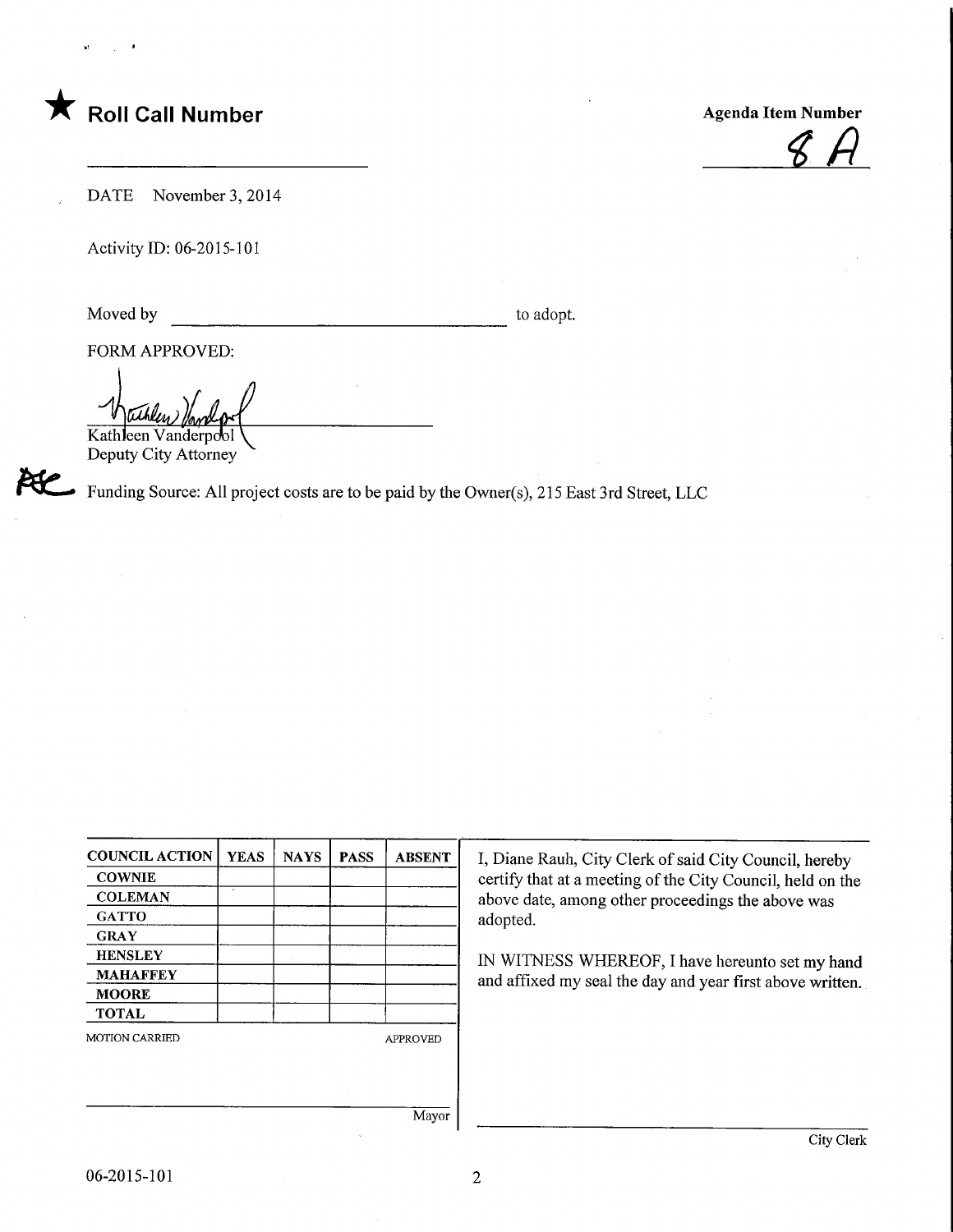## Roll Call Number

Agenda Item Number

 $\cancel{6}$ 

DATE November 3, 2014

Activity m: 06-2015-101

Moved by to adopt.

AC<br>K

FORM APPROVED:

tithl*in* 

Kathleen Vanderpool Deputy City Attorney

Funding Source: All project costs are to be paid by the Owner(s), 215 East 3rd Street, LLC

| <b>COUNCIL ACTION</b> | <b>YEAS</b> | <b>NAYS</b> | <b>PASS</b> | <b>ABSENT</b>   |
|-----------------------|-------------|-------------|-------------|-----------------|
| <b>COWNIE</b>         |             |             |             |                 |
| <b>COLEMAN</b>        | ×,          |             |             |                 |
| <b>GATTO</b>          |             |             |             |                 |
| <b>GRAY</b>           |             |             |             |                 |
| <b>HENSLEY</b>        |             |             |             |                 |
| <b>MAHAFFEY</b>       |             |             |             |                 |
| <b>MOORE</b>          |             |             |             |                 |
| <b>TOTAL</b>          |             |             |             |                 |
| <b>MOTION CARRIED</b> |             |             |             | <b>APPROVED</b> |
|                       |             |             |             |                 |
|                       |             |             |             |                 |
|                       |             |             |             |                 |

I, Diane Rauh, City Clerk of said City Council, hereby certify that at a meeting of the City Council, held on the above date, among other proceedings the above was adopted.

IN WITNESS WHEREOF, I have hereunto set my hand and affixed my seal the day and year first above written.

Mayor